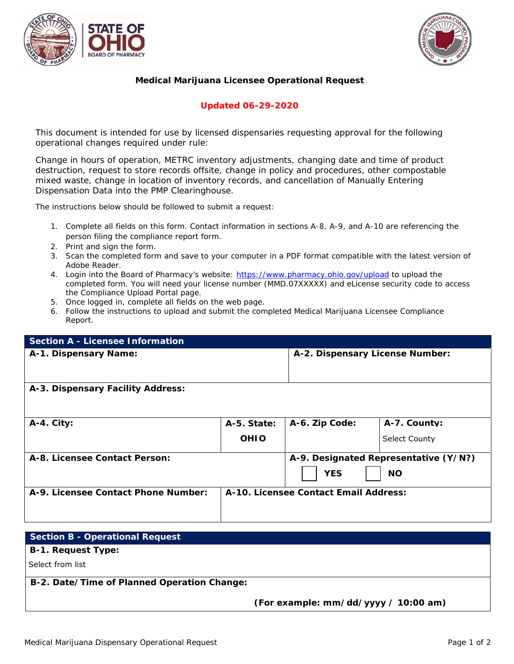



## **Medical Marijuana Licensee Operational Request**

## **Updated 06-29-2020**

This document is intended for use by licensed dispensaries requesting approval for the following *operational changes required under rule:* 

*Change in hours of operation, METRC inventory adjustments, changing date and time of product destruction, request to store records offsite, change in policy and procedures, other compostable mixed waste, change in location of inventory records, and cancellation of Manually Entering Dispensation Data into the PMP Clearinghouse.* 

The instructions below should be followed to submit a request:

- 1. Complete all fields on this form. Contact information in sections A-8, A-9, and A-10 are referencing the person filing the compliance report form.
- 2. Print and sign the form.
- 3. Scan the completed form and save to your computer in a PDF format compatible with the latest version of Adobe Reader.
- 4. Login into the Board of Pharmacy's website: https://www.pharmacy.ohio.gov/upload to upload the completed form. You will need your license number (MMD.07XXXXX) and eLicense security code to access the Compliance Upload Portal page.
- 5. Once logged in, complete all fields on the web page.
- 6. Follow the instructions to upload and submit the completed Medical Marijuana Licensee Compliance Report.

| <b>Section A - Licensee Information</b> |                                       |                                       |                      |
|-----------------------------------------|---------------------------------------|---------------------------------------|----------------------|
| A-1. Dispensary Name:                   |                                       | A-2. Dispensary License Number:       |                      |
| A-3. Dispensary Facility Address:       |                                       |                                       |                      |
| $A-4.$ City:                            | A-5. State:                           | A-6. Zip Code:                        | A-7. County:         |
|                                         | <b>OHIO</b>                           |                                       | <b>Select County</b> |
| A-8. Licensee Contact Person:           |                                       | A-9. Designated Representative (Y/N?) |                      |
|                                         |                                       | <b>YES</b>                            | <b>NO</b>            |
| A-9. Licensee Contact Phone Number:     | A-10. Licensee Contact Email Address: |                                       |                      |
|                                         |                                       |                                       |                      |

| Section B - Operational Request             |                                      |
|---------------------------------------------|--------------------------------------|
| <b>B-1. Request Type:</b>                   |                                      |
| Select from list                            |                                      |
| B-2. Date/Time of Planned Operation Change: |                                      |
|                                             | (For example: mm/dd/yyyy / 10:00 am) |